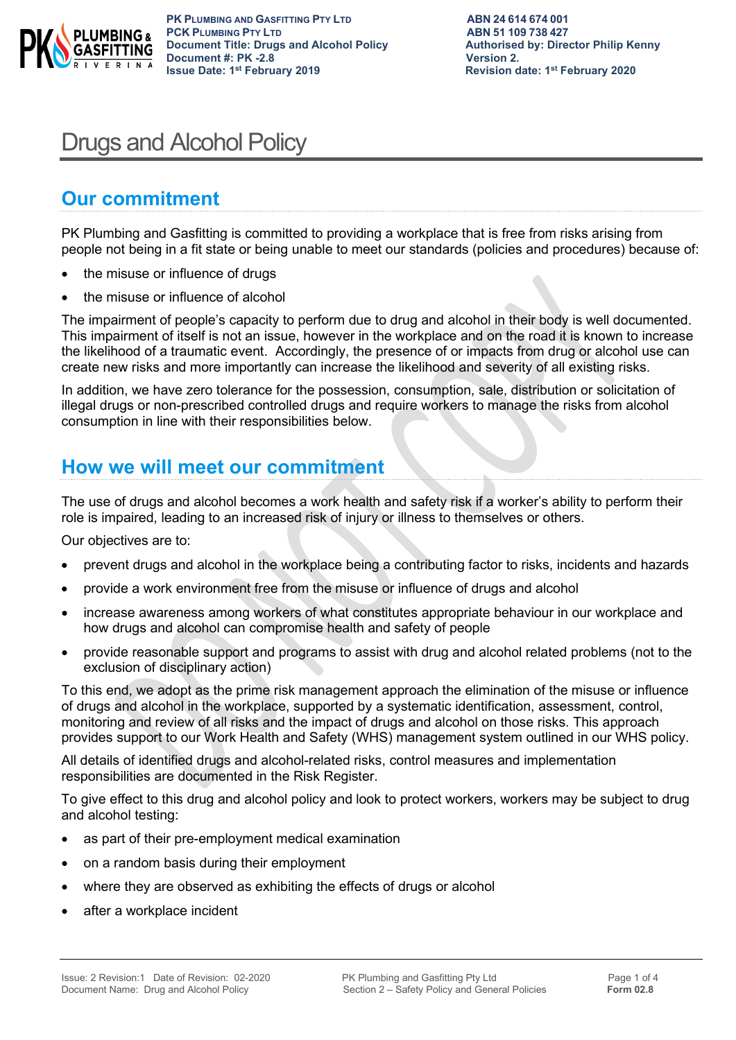

**PK PLUMBING AND GASFITTING PTY LTD**<br> **PCK PLUMBING PTY LTD**<br> **ABN 51 109 738 427 PCK PLUMBING PTY LTD**<br> **PCK PLUMBING PTY LTD**<br> **Document Title: Drugs and Alcohol Policy Authorised by: Director Philip Kenny Document Title: Drugs and Alcohol Policy Document #: PK -2.8 Version 2.**<br> **19.15 Issue Date: 1st February 2019 19.15 Issue Date: 1st February 2019** 

**Revision date: 1st February 2020** 

# Drugs and Alcohol Policy

### **Our commitment**

PK Plumbing and Gasfitting is committed to providing a workplace that is free from risks arising from people not being in a fit state or being unable to meet our standards (policies and procedures) because of:

- the misuse or influence of drugs
- the misuse or influence of alcohol

The impairment of people's capacity to perform due to drug and alcohol in their body is well documented. This impairment of itself is not an issue, however in the workplace and on the road it is known to increase the likelihood of a traumatic event. Accordingly, the presence of or impacts from drug or alcohol use can create new risks and more importantly can increase the likelihood and severity of all existing risks.

In addition, we have zero tolerance for the possession, consumption, sale, distribution or solicitation of illegal drugs or non-prescribed controlled drugs and require workers to manage the risks from alcohol consumption in line with their responsibilities below.

### **How we will meet our commitment**

The use of drugs and alcohol becomes a work health and safety risk if a worker's ability to perform their role is impaired, leading to an increased risk of injury or illness to themselves or others.

Our objectives are to:

- prevent drugs and alcohol in the workplace being a contributing factor to risks, incidents and hazards
- provide a work environment free from the misuse or influence of drugs and alcohol
- increase awareness among workers of what constitutes appropriate behaviour in our workplace and how drugs and alcohol can compromise health and safety of people
- provide reasonable support and programs to assist with drug and alcohol related problems (not to the exclusion of disciplinary action)

To this end, we adopt as the prime risk management approach the elimination of the misuse or influence of drugs and alcohol in the workplace, supported by a systematic identification, assessment, control, monitoring and review of all risks and the impact of drugs and alcohol on those risks. This approach provides support to our Work Health and Safety (WHS) management system outlined in our WHS policy.

All details of identified drugs and alcohol-related risks, control measures and implementation responsibilities are documented in the Risk Register.

To give effect to this drug and alcohol policy and look to protect workers, workers may be subject to drug and alcohol testing:

- as part of their pre-employment medical examination
- on a random basis during their employment
- where they are observed as exhibiting the effects of drugs or alcohol
- after a workplace incident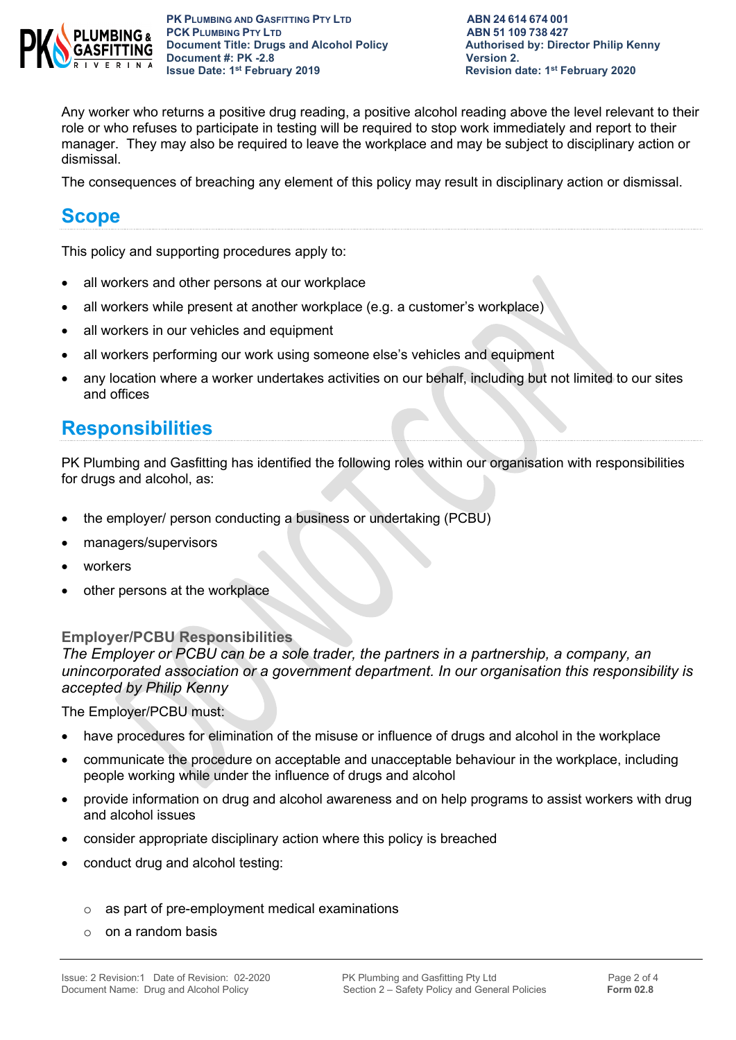

**PK PLUMBING AND GASFITTING PTY LTD**<br> **PCK PLUMBING PTY LTD**<br> **ABN 51 109 738 427 PCK PLUMBING PTY LTD**<br> **PCK PLUMBING PTY LTD**<br> **Document Title: Drugs and Alcohol Policy Authorised by: Director Philip Kenny Document Title: Drugs and Alcohol Policy Document #: PK -2.8 Version 2.**<br> **19. Issue Date: 1st February 2019 19. Issue Date: 1st February 2019** 

**Revision date: 1st February 2020** 

Any worker who returns a positive drug reading, a positive alcohol reading above the level relevant to their role or who refuses to participate in testing will be required to stop work immediately and report to their manager. They may also be required to leave the workplace and may be subject to disciplinary action or dismissal.

The consequences of breaching any element of this policy may result in disciplinary action or dismissal.

### **Scope**

This policy and supporting procedures apply to:

- all workers and other persons at our workplace
- all workers while present at another workplace (e.g. a customer's workplace)
- all workers in our vehicles and equipment
- all workers performing our work using someone else's vehicles and equipment
- any location where a worker undertakes activities on our behalf, including but not limited to our sites and offices

### **Responsibilities**

PK Plumbing and Gasfitting has identified the following roles within our organisation with responsibilities for drugs and alcohol, as:

- the employer/ person conducting a business or undertaking (PCBU)
- managers/supervisors
- workers
- other persons at the workplace

#### **Employer/PCBU Responsibilities**

*The Employer or PCBU can be a sole trader, the partners in a partnership, a company, an unincorporated association or a government department. In our organisation this responsibility is accepted by Philip Kenny*

The Employer/PCBU must:

- have procedures for elimination of the misuse or influence of drugs and alcohol in the workplace
- communicate the procedure on acceptable and unacceptable behaviour in the workplace, including people working while under the influence of drugs and alcohol
- provide information on drug and alcohol awareness and on help programs to assist workers with drug and alcohol issues
- consider appropriate disciplinary action where this policy is breached
- conduct drug and alcohol testing:
	- o as part of pre-employment medical examinations
	- $\circ$  on a random basis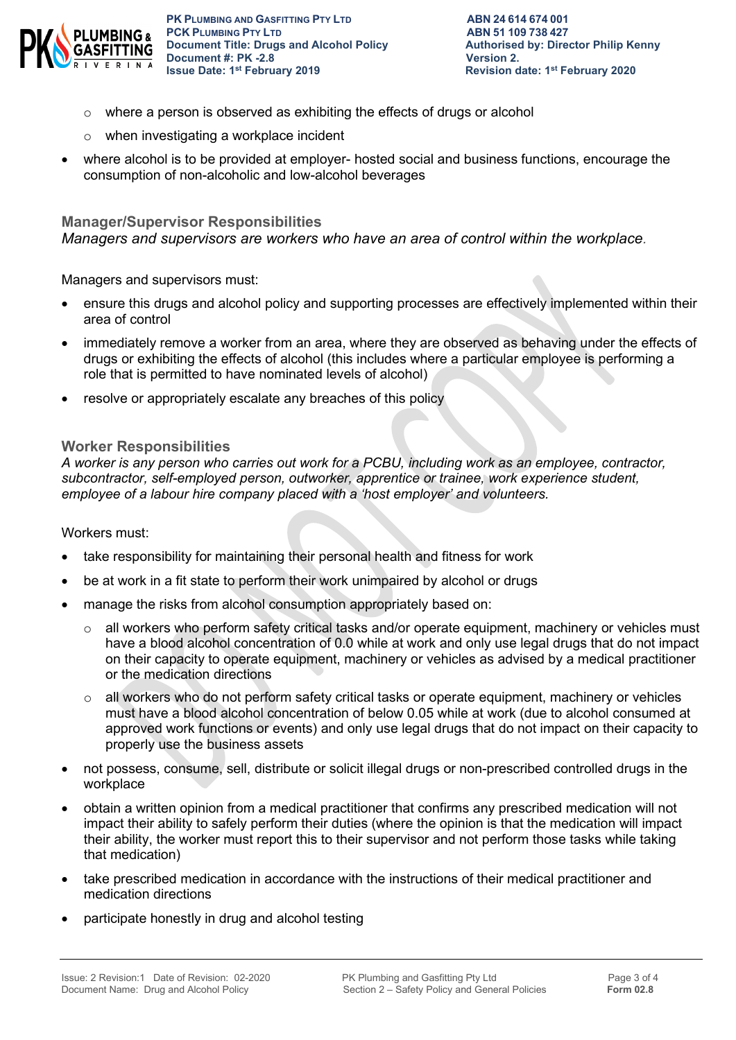

**PK PLUMBING AND GASFITTING PTY LTD**<br> **PCK PLUMBING PTY LTD**<br> **ABN 51 109 738 427 PCK PLUMBING PTY LTD**<br> **PCK PLUMBING PTY LTD**<br> **Document Title: Drugs and Alcohol Policy Authorised by: Director Philip Kenny Document Title: Drugs and Alcohol Policy Document #: PK -2.8 Version 2.**<br> **19. Issue Date: 1st February 2019 19. Issue Date: 1st February 2019** 

- o where a person is observed as exhibiting the effects of drugs or alcohol
- o when investigating a workplace incident
- where alcohol is to be provided at employer- hosted social and business functions, encourage the consumption of non-alcoholic and low-alcohol beverages

#### **Manager/Supervisor Responsibilities**

*Managers and supervisors are workers who have an area of control within the workplace.*

Managers and supervisors must:

- ensure this drugs and alcohol policy and supporting processes are effectively implemented within their area of control
- immediately remove a worker from an area, where they are observed as behaving under the effects of drugs or exhibiting the effects of alcohol (this includes where a particular employee is performing a role that is permitted to have nominated levels of alcohol)
- resolve or appropriately escalate any breaches of this policy

#### **Worker Responsibilities**

*A worker is any person who carries out work for a PCBU, including work as an employee, contractor, subcontractor, self-employed person, outworker, apprentice or trainee, work experience student, employee of a labour hire company placed with a 'host employer' and volunteers.*

#### Workers must:

- take responsibility for maintaining their personal health and fitness for work
- be at work in a fit state to perform their work unimpaired by alcohol or drugs
- manage the risks from alcohol consumption appropriately based on:
	- $\circ$  all workers who perform safety critical tasks and/or operate equipment, machinery or vehicles must have a blood alcohol concentration of 0.0 while at work and only use legal drugs that do not impact on their capacity to operate equipment, machinery or vehicles as advised by a medical practitioner or the medication directions
	- o all workers who do not perform safety critical tasks or operate equipment, machinery or vehicles must have a blood alcohol concentration of below 0.05 while at work (due to alcohol consumed at approved work functions or events) and only use legal drugs that do not impact on their capacity to properly use the business assets
- not possess, consume, sell, distribute or solicit illegal drugs or non-prescribed controlled drugs in the workplace
- obtain a written opinion from a medical practitioner that confirms any prescribed medication will not impact their ability to safely perform their duties (where the opinion is that the medication will impact their ability, the worker must report this to their supervisor and not perform those tasks while taking that medication)
- take prescribed medication in accordance with the instructions of their medical practitioner and medication directions
- participate honestly in drug and alcohol testing